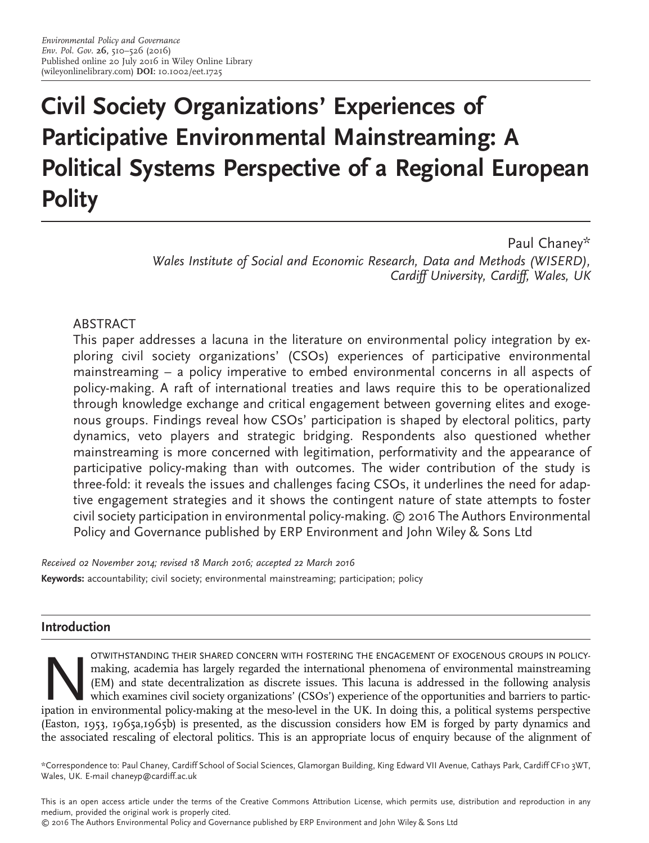# Civil Society Organizations' Experiences of Participative Environmental Mainstreaming: A Political Systems Perspective of a Regional European **Polity**

Paul Chaney\* Wales Institute of Social and Economic Research, Data and Methods (WISERD), Cardiff University, Cardiff, Wales, UK

# ABSTRACT

This paper addresses a lacuna in the literature on environmental policy integration by exploring civil society organizations' (CSOs) experiences of participative environmental mainstreaming – a policy imperative to embed environmental concerns in all aspects of policy-making. A raft of international treaties and laws require this to be operationalized through knowledge exchange and critical engagement between governing elites and exogenous groups. Findings reveal how CSOs' participation is shaped by electoral politics, party dynamics, veto players and strategic bridging. Respondents also questioned whether mainstreaming is more concerned with legitimation, performativity and the appearance of participative policy-making than with outcomes. The wider contribution of the study is three-fold: it reveals the issues and challenges facing CSOs, it underlines the need for adaptive engagement strategies and it shows the contingent nature of state attempts to foster civil society participation in environmental policy-making. © 2016 The Authors Environmental Policy and Governance published by ERP Environment and John Wiley & Sons Ltd

Received 02 November 2014; revised 18 March 2016; accepted 22 March 2016 Keywords: accountability; civil society; environmental mainstreaming; participation; policy

# Introduction

OTWITHSTANDING THEIR SHARED CONCERN WITH FOSTERING THE ENGAGEMENT OF EXOGENOUS GROUPS IN POLICY-<br>
making, academia has largely regarded the international phenomena of environmental mainstreaming<br>
(EM) and state decentraliz making, academia has largely regarded the international phenomena of environmental mainstreaming (EM) and state decentralization as discrete issues. This lacuna is addressed in the following analysis which examines civil society organizations' (CSOs') experience of the opportunities and barriers to partic-(Easton, 1953, 1965a,1965b) is presented, as the discussion considers how EM is forged by party dynamics and the associated rescaling of electoral politics. This is an appropriate locus of enquiry because of the alignment of

\*Correspondence to: Paul Chaney, Cardiff School of Social Sciences, Glamorgan Building, King Edward VII Avenue, Cathays Park, Cardiff CF10 3WT, Wales, UK. E-mail chaneyp@cardiff.ac.uk

This is an open access article under the terms of the [Creative Commons Attribution](http://creativecommons.org/licenses/by/4.0/) License, which permits use, distribution and reproduction in any medium, provided the original work is properly cited.

© 2016 The Authors Environmental Policy and Governance published by ERP Environment and John Wiley & Sons Ltd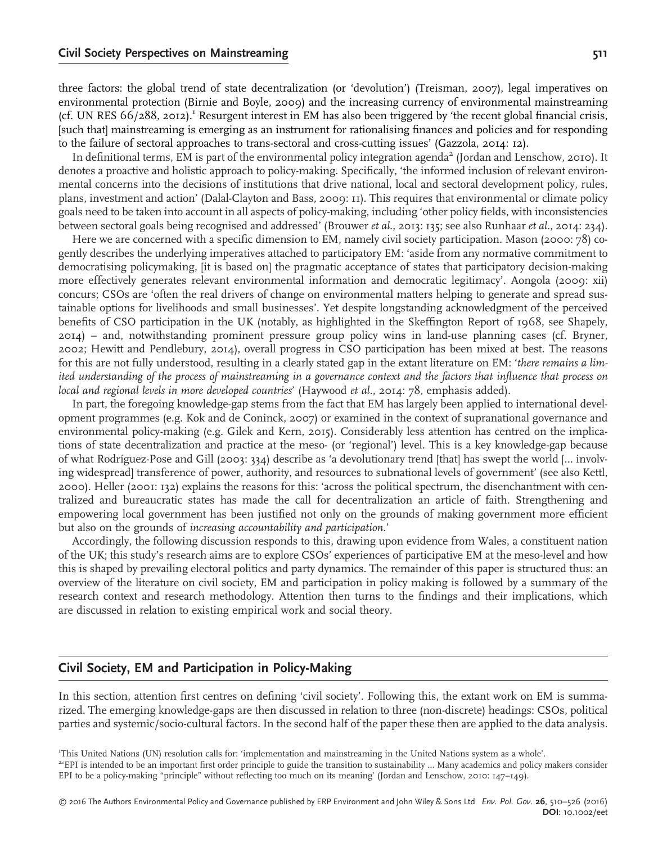three factors: the global trend of state decentralization (or 'devolution') (Treisman, 2007), legal imperatives on environmental protection (Birnie and Boyle, 2009) and the increasing currency of environmental mainstreaming (cf. UN RES  $66/288$ , 2012).<sup>1</sup> Resurgent interest in EM has also been triggered by 'the recent global financial crisis, [such that] mainstreaming is emerging as an instrument for rationalising finances and policies and for responding to the failure of sectoral approaches to trans-sectoral and cross-cutting issues' (Gazzola, 2014: 12).

In definitional terms, EM is part of the environmental policy integration agenda<sup>2</sup> (Jordan and Lenschow, 2010). It denotes a proactive and holistic approach to policy-making. Specifically, 'the informed inclusion of relevant environmental concerns into the decisions of institutions that drive national, local and sectoral development policy, rules, plans, investment and action' (Dalal-Clayton and Bass, 2009: 11). This requires that environmental or climate policy goals need to be taken into account in all aspects of policy-making, including 'other policy fields, with inconsistencies between sectoral goals being recognised and addressed' (Brouwer et al., 2013: 135; see also Runhaar et al., 2014: 234).

Here we are concerned with a specific dimension to EM, namely civil society participation. Mason (2000: 78) cogently describes the underlying imperatives attached to participatory EM: 'aside from any normative commitment to democratising policymaking, [it is based on] the pragmatic acceptance of states that participatory decision-making more effectively generates relevant environmental information and democratic legitimacy'. Aongola (2009: xii) concurs; CSOs are 'often the real drivers of change on environmental matters helping to generate and spread sustainable options for livelihoods and small businesses'. Yet despite longstanding acknowledgment of the perceived benefits of CSO participation in the UK (notably, as highlighted in the Skeffington Report of 1968, see Shapely, 2014) – and, notwithstanding prominent pressure group policy wins in land-use planning cases (cf. Bryner, 2002; Hewitt and Pendlebury, 2014), overall progress in CSO participation has been mixed at best. The reasons for this are not fully understood, resulting in a clearly stated gap in the extant literature on EM: 'there remains a limited understanding of the process of mainstreaming in a governance context and the factors that influence that process on local and regional levels in more developed countries' (Haywood et al., 2014: 78, emphasis added).

In part, the foregoing knowledge-gap stems from the fact that EM has largely been applied to international development programmes (e.g. Kok and de Coninck, 2007) or examined in the context of supranational governance and environmental policy-making (e.g. Gilek and Kern, 2015). Considerably less attention has centred on the implications of state decentralization and practice at the meso- (or 'regional') level. This is a key knowledge-gap because of what Rodríguez-Pose and Gill (2003: 334) describe as 'a devolutionary trend [that] has swept the world [… involving widespread] transference of power, authority, and resources to subnational levels of government' (see also Kettl, 2000). Heller (2001: 132) explains the reasons for this: 'across the political spectrum, the disenchantment with centralized and bureaucratic states has made the call for decentralization an article of faith. Strengthening and empowering local government has been justified not only on the grounds of making government more efficient but also on the grounds of increasing accountability and participation.'

Accordingly, the following discussion responds to this, drawing upon evidence from Wales, a constituent nation of the UK; this study's research aims are to explore CSOs' experiences of participative EM at the meso-level and how this is shaped by prevailing electoral politics and party dynamics. The remainder of this paper is structured thus: an overview of the literature on civil society, EM and participation in policy making is followed by a summary of the research context and research methodology. Attention then turns to the findings and their implications, which are discussed in relation to existing empirical work and social theory.

## Civil Society, EM and Participation in Policy-Making

In this section, attention first centres on defining 'civil society'. Following this, the extant work on EM is summarized. The emerging knowledge-gaps are then discussed in relation to three (non-discrete) headings: CSOs, political parties and systemic/socio-cultural factors. In the second half of the paper these then are applied to the data analysis.

<sup>1</sup> This United Nations (UN) resolution calls for: 'implementation and mainstreaming in the United Nations system as a whole'.

<sup>&</sup>lt;sup>2</sup>'EPI is intended to be an important first order principle to guide the transition to sustainability ... Many academics and policy makers consider EPI to be a policy-making "principle" without reflecting too much on its meaning' (Jordan and Lenschow, 2010: 147–149).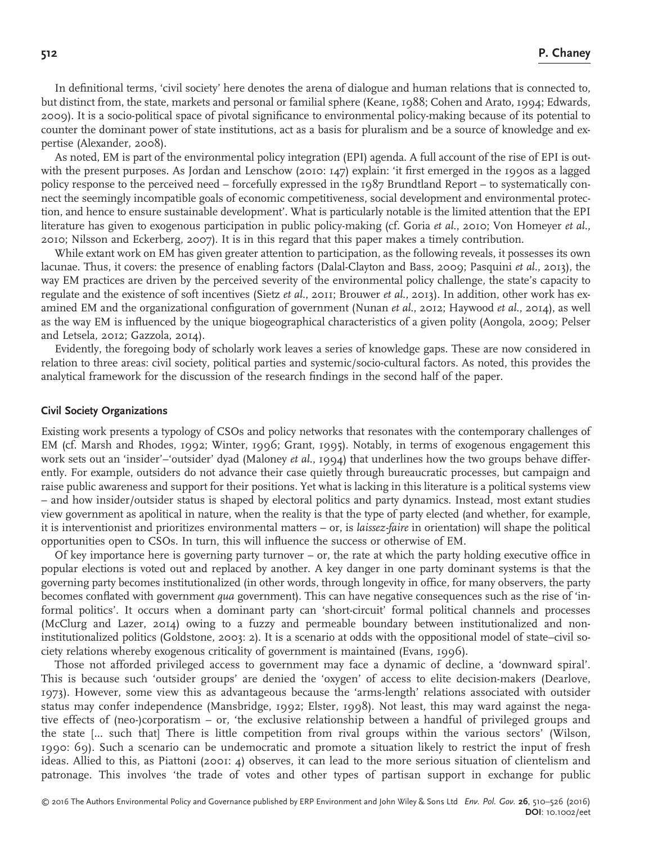In definitional terms, 'civil society' here denotes the arena of dialogue and human relations that is connected to, but distinct from, the state, markets and personal or familial sphere (Keane, 1988; Cohen and Arato, 1994; Edwards, 2009). It is a socio-political space of pivotal significance to environmental policy-making because of its potential to counter the dominant power of state institutions, act as a basis for pluralism and be a source of knowledge and expertise (Alexander, 2008).

As noted, EM is part of the environmental policy integration (EPI) agenda. A full account of the rise of EPI is outwith the present purposes. As Jordan and Lenschow (2010: 147) explain: 'it first emerged in the 1990s as a lagged policy response to the perceived need – forcefully expressed in the 1987 Brundtland Report – to systematically connect the seemingly incompatible goals of economic competitiveness, social development and environmental protection, and hence to ensure sustainable development'. What is particularly notable is the limited attention that the EPI literature has given to exogenous participation in public policy-making (cf. Goria et al., 2010; Von Homeyer et al., 2010; Nilsson and Eckerberg, 2007). It is in this regard that this paper makes a timely contribution.

While extant work on EM has given greater attention to participation, as the following reveals, it possesses its own lacunae. Thus, it covers: the presence of enabling factors (Dalal-Clayton and Bass, 2009; Pasquini et al., 2013), the way EM practices are driven by the perceived severity of the environmental policy challenge, the state's capacity to regulate and the existence of soft incentives (Sietz et al., 2011; Brouwer et al., 2013). In addition, other work has examined EM and the organizational configuration of government (Nunan et al., 2012; Haywood et al., 2014), as well as the way EM is influenced by the unique biogeographical characteristics of a given polity (Aongola, 2009; Pelser and Letsela, 2012; Gazzola, 2014).

Evidently, the foregoing body of scholarly work leaves a series of knowledge gaps. These are now considered in relation to three areas: civil society, political parties and systemic/socio-cultural factors. As noted, this provides the analytical framework for the discussion of the research findings in the second half of the paper.

#### Civil Society Organizations

Existing work presents a typology of CSOs and policy networks that resonates with the contemporary challenges of EM (cf. Marsh and Rhodes, 1992; Winter, 1996; Grant, 1995). Notably, in terms of exogenous engagement this work sets out an 'insider'–'outsider' dyad (Maloney *et al.*, 1994) that underlines how the two groups behave differently. For example, outsiders do not advance their case quietly through bureaucratic processes, but campaign and raise public awareness and support for their positions. Yet what is lacking in this literature is a political systems view – and how insider/outsider status is shaped by electoral politics and party dynamics. Instead, most extant studies view government as apolitical in nature, when the reality is that the type of party elected (and whether, for example, it is interventionist and prioritizes environmental matters – or, is laissez-faire in orientation) will shape the political opportunities open to CSOs. In turn, this will influence the success or otherwise of EM.

Of key importance here is governing party turnover – or, the rate at which the party holding executive office in popular elections is voted out and replaced by another. A key danger in one party dominant systems is that the governing party becomes institutionalized (in other words, through longevity in office, for many observers, the party becomes conflated with government qua government). This can have negative consequences such as the rise of 'informal politics'. It occurs when a dominant party can 'short-circuit' formal political channels and processes (McClurg and Lazer, 2014) owing to a fuzzy and permeable boundary between institutionalized and noninstitutionalized politics (Goldstone, 2003: 2). It is a scenario at odds with the oppositional model of state–civil society relations whereby exogenous criticality of government is maintained (Evans, 1996).

Those not afforded privileged access to government may face a dynamic of decline, a 'downward spiral'. This is because such 'outsider groups' are denied the 'oxygen' of access to elite decision-makers (Dearlove, 1973). However, some view this as advantageous because the 'arms-length' relations associated with outsider status may confer independence (Mansbridge, 1992; Elster, 1998). Not least, this may ward against the negative effects of (neo-)corporatism – or, 'the exclusive relationship between a handful of privileged groups and the state [… such that] There is little competition from rival groups within the various sectors' (Wilson, 1990: 69). Such a scenario can be undemocratic and promote a situation likely to restrict the input of fresh ideas. Allied to this, as Piattoni (2001: 4) observes, it can lead to the more serious situation of clientelism and patronage. This involves 'the trade of votes and other types of partisan support in exchange for public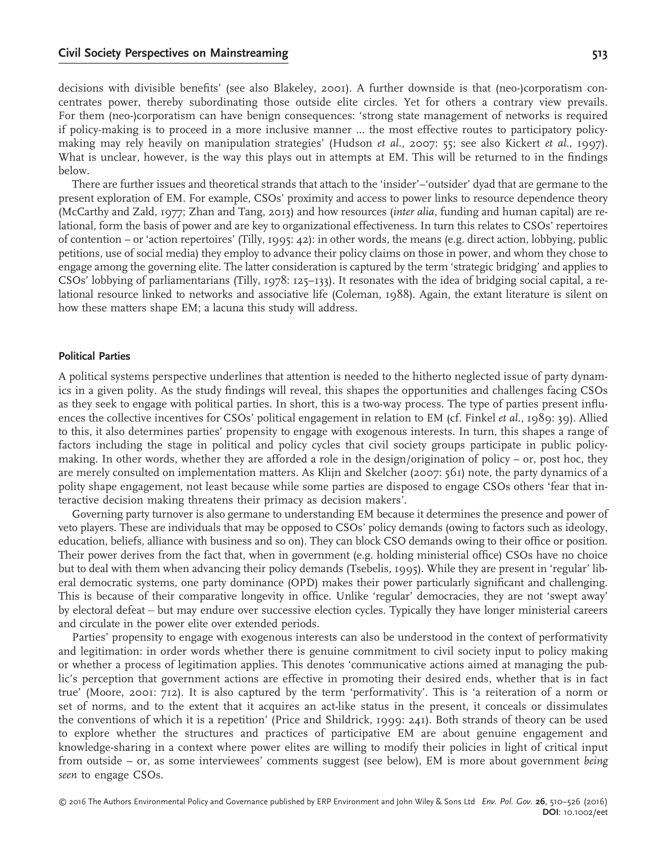decisions with divisible benefits' (see also Blakeley, 2001). A further downside is that (neo-)corporatism concentrates power, thereby subordinating those outside elite circles. Yet for others a contrary view prevails. For them (neo-)corporatism can have benign consequences: 'strong state management of networks is required if policy-making is to proceed in a more inclusive manner … the most effective routes to participatory policymaking may rely heavily on manipulation strategies' (Hudson et al., 2007: 55; see also Kickert et al., 1997). What is unclear, however, is the way this plays out in attempts at EM. This will be returned to in the findings below.

There are further issues and theoretical strands that attach to the 'insider'–'outsider' dyad that are germane to the present exploration of EM. For example, CSOs' proximity and access to power links to resource dependence theory (McCarthy and Zald, 1977; Zhan and Tang, 2013) and how resources (inter alia, funding and human capital) are relational, form the basis of power and are key to organizational effectiveness. In turn this relates to CSOs' repertoires of contention – or 'action repertoires' (Tilly, 1995: 42): in other words, the means (e.g. direct action, lobbying, public petitions, use of social media) they employ to advance their policy claims on those in power, and whom they chose to engage among the governing elite. The latter consideration is captured by the term 'strategic bridging' and applies to CSOs' lobbying of parliamentarians (Tilly, 1978: 125–133). It resonates with the idea of bridging social capital, a relational resource linked to networks and associative life (Coleman, 1988). Again, the extant literature is silent on how these matters shape EM; a lacuna this study will address.

### Political Parties

A political systems perspective underlines that attention is needed to the hitherto neglected issue of party dynamics in a given polity. As the study findings will reveal, this shapes the opportunities and challenges facing CSOs as they seek to engage with political parties. In short, this is a two-way process. The type of parties present influences the collective incentives for CSOs' political engagement in relation to EM (cf. Finkel et al., 1989: 39). Allied to this, it also determines parties' propensity to engage with exogenous interests. In turn, this shapes a range of factors including the stage in political and policy cycles that civil society groups participate in public policymaking. In other words, whether they are afforded a role in the design/origination of policy – or, post hoc, they are merely consulted on implementation matters. As Klijn and Skelcher (2007: 561) note, the party dynamics of a polity shape engagement, not least because while some parties are disposed to engage CSOs others 'fear that interactive decision making threatens their primacy as decision makers'.

Governing party turnover is also germane to understanding EM because it determines the presence and power of veto players. These are individuals that may be opposed to CSOs' policy demands (owing to factors such as ideology, education, beliefs, alliance with business and so on). They can block CSO demands owing to their office or position. Their power derives from the fact that, when in government (e.g. holding ministerial office) CSOs have no choice but to deal with them when advancing their policy demands (Tsebelis, 1995). While they are present in 'regular' liberal democratic systems, one party dominance (OPD) makes their power particularly significant and challenging. This is because of their comparative longevity in office. Unlike 'regular' democracies, they are not 'swept away' by electoral defeat – but may endure over successive election cycles. Typically they have longer ministerial careers and circulate in the power elite over extended periods.

Parties' propensity to engage with exogenous interests can also be understood in the context of performativity and legitimation: in order words whether there is genuine commitment to civil society input to policy making or whether a process of legitimation applies. This denotes 'communicative actions aimed at managing the public's perception that government actions are effective in promoting their desired ends, whether that is in fact true' (Moore, 2001: 712). It is also captured by the term 'performativity'. This is 'a reiteration of a norm or set of norms, and to the extent that it acquires an act-like status in the present, it conceals or dissimulates the conventions of which it is a repetition' (Price and Shildrick, 1999: 241). Both strands of theory can be used to explore whether the structures and practices of participative EM are about genuine engagement and knowledge-sharing in a context where power elites are willing to modify their policies in light of critical input from outside – or, as some interviewees' comments suggest (see below), EM is more about government being seen to engage CSOs.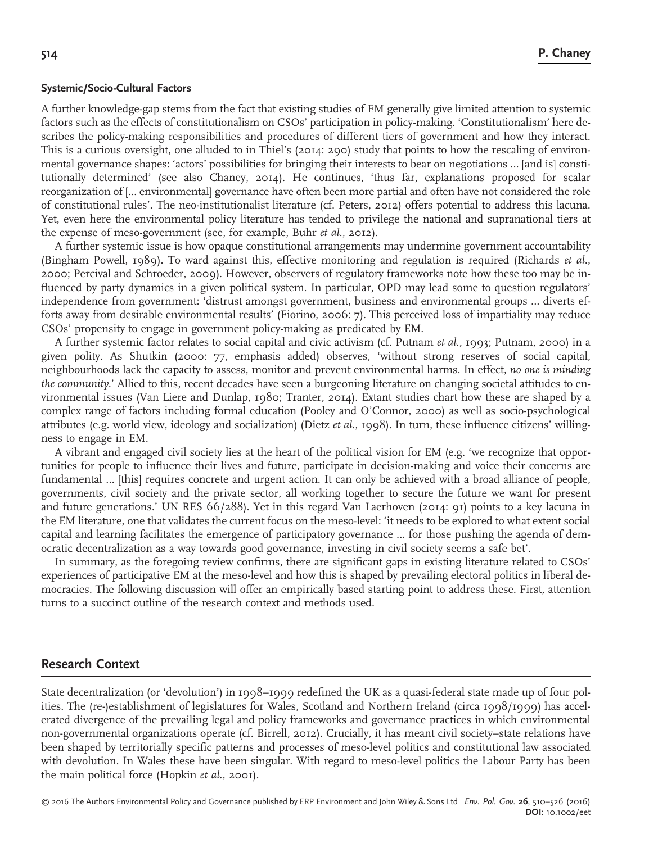### Systemic/Socio-Cultural Factors

A further knowledge-gap stems from the fact that existing studies of EM generally give limited attention to systemic factors such as the effects of constitutionalism on CSOs' participation in policy-making. 'Constitutionalism' here describes the policy-making responsibilities and procedures of different tiers of government and how they interact. This is a curious oversight, one alluded to in Thiel's (2014: 290) study that points to how the rescaling of environmental governance shapes: 'actors' possibilities for bringing their interests to bear on negotiations … [and is] constitutionally determined' (see also Chaney, 2014). He continues, 'thus far, explanations proposed for scalar reorganization of [… environmental] governance have often been more partial and often have not considered the role of constitutional rules'. The neo-institutionalist literature (cf. Peters, 2012) offers potential to address this lacuna. Yet, even here the environmental policy literature has tended to privilege the national and supranational tiers at the expense of meso-government (see, for example, Buhr et al., 2012).

A further systemic issue is how opaque constitutional arrangements may undermine government accountability (Bingham Powell, 1989). To ward against this, effective monitoring and regulation is required (Richards et al., 2000; Percival and Schroeder, 2009). However, observers of regulatory frameworks note how these too may be influenced by party dynamics in a given political system. In particular, OPD may lead some to question regulators' independence from government: 'distrust amongst government, business and environmental groups … diverts efforts away from desirable environmental results' (Fiorino, 2006: 7). This perceived loss of impartiality may reduce CSOs' propensity to engage in government policy-making as predicated by EM.

A further systemic factor relates to social capital and civic activism (cf. Putnam et al., 1993; Putnam, 2000) in a given polity. As Shutkin (2000: 77, emphasis added) observes, 'without strong reserves of social capital, neighbourhoods lack the capacity to assess, monitor and prevent environmental harms. In effect, no one is minding the community.' Allied to this, recent decades have seen a burgeoning literature on changing societal attitudes to environmental issues (Van Liere and Dunlap, 1980; Tranter, 2014). Extant studies chart how these are shaped by a complex range of factors including formal education (Pooley and O'Connor, 2000) as well as socio-psychological attributes (e.g. world view, ideology and socialization) (Dietz et al., 1998). In turn, these influence citizens' willingness to engage in EM.

A vibrant and engaged civil society lies at the heart of the political vision for EM (e.g. 'we recognize that opportunities for people to influence their lives and future, participate in decision-making and voice their concerns are fundamental … [this] requires concrete and urgent action. It can only be achieved with a broad alliance of people, governments, civil society and the private sector, all working together to secure the future we want for present and future generations.' UN RES 66/288). Yet in this regard Van Laerhoven (2014: 91) points to a key lacuna in the EM literature, one that validates the current focus on the meso-level: 'it needs to be explored to what extent social capital and learning facilitates the emergence of participatory governance … for those pushing the agenda of democratic decentralization as a way towards good governance, investing in civil society seems a safe bet'.

In summary, as the foregoing review confirms, there are significant gaps in existing literature related to CSOs' experiences of participative EM at the meso-level and how this is shaped by prevailing electoral politics in liberal democracies. The following discussion will offer an empirically based starting point to address these. First, attention turns to a succinct outline of the research context and methods used.

## Research Context

State decentralization (or 'devolution') in 1998–1999 redefined the UK as a quasi-federal state made up of four polities. The (re-)establishment of legislatures for Wales, Scotland and Northern Ireland (circa 1998/1999) has accelerated divergence of the prevailing legal and policy frameworks and governance practices in which environmental non-governmental organizations operate (cf. Birrell, 2012). Crucially, it has meant civil society–state relations have been shaped by territorially specific patterns and processes of meso-level politics and constitutional law associated with devolution. In Wales these have been singular. With regard to meso-level politics the Labour Party has been the main political force (Hopkin et al., 2001).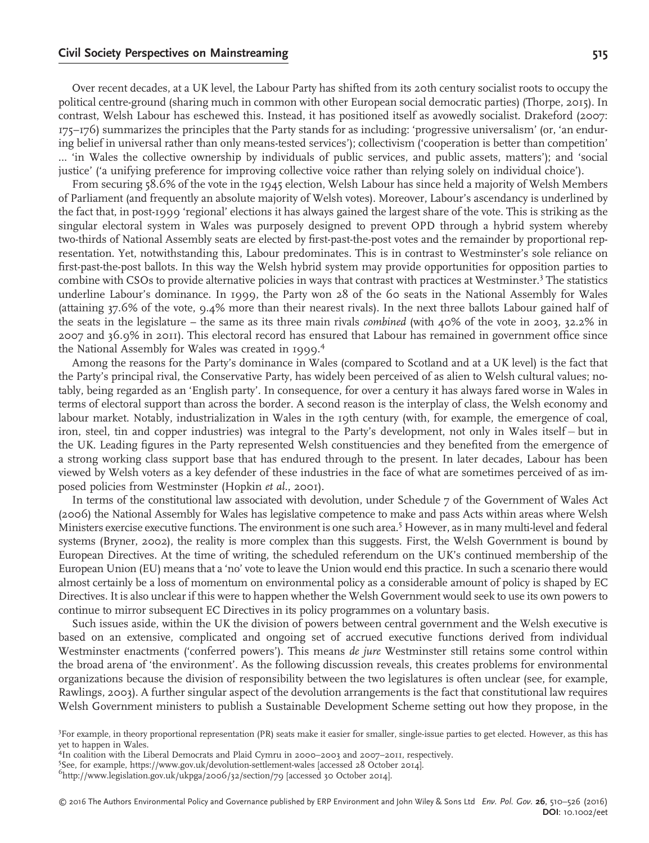Over recent decades, at a UK level, the Labour Party has shifted from its 20th century socialist roots to occupy the political centre-ground (sharing much in common with other European social democratic parties) (Thorpe, 2015). In contrast, Welsh Labour has eschewed this. Instead, it has positioned itself as avowedly socialist. Drakeford (2007: 175–176) summarizes the principles that the Party stands for as including: 'progressive universalism' (or, 'an enduring belief in universal rather than only means-tested services'); collectivism ('cooperation is better than competition' … 'in Wales the collective ownership by individuals of public services, and public assets, matters'); and 'social justice' ('a unifying preference for improving collective voice rather than relying solely on individual choice').

From securing 58.6% of the vote in the 1945 election, Welsh Labour has since held a majority of Welsh Members of Parliament (and frequently an absolute majority of Welsh votes). Moreover, Labour's ascendancy is underlined by the fact that, in post-1999 'regional' elections it has always gained the largest share of the vote. This is striking as the singular electoral system in Wales was purposely designed to prevent OPD through a hybrid system whereby two-thirds of National Assembly seats are elected by first-past-the-post votes and the remainder by proportional representation. Yet, notwithstanding this, Labour predominates. This is in contrast to Westminster's sole reliance on first-past-the-post ballots. In this way the Welsh hybrid system may provide opportunities for opposition parties to combine with CSOs to provide alternative policies in ways that contrast with practices at Westminster.<sup>3</sup> The statistics underline Labour's dominance. In 1999, the Party won 28 of the 60 seats in the National Assembly for Wales (attaining 37.6% of the vote, 9.4% more than their nearest rivals). In the next three ballots Labour gained half of the seats in the legislature – the same as its three main rivals *combined* (with  $40\%$  of the vote in 2003, 32.2% in 2007 and 36.9% in 2011). This electoral record has ensured that Labour has remained in government office since the National Assembly for Wales was created in 1999.<sup>4</sup>

Among the reasons for the Party's dominance in Wales (compared to Scotland and at a UK level) is the fact that the Party's principal rival, the Conservative Party, has widely been perceived of as alien to Welsh cultural values; notably, being regarded as an 'English party'. In consequence, for over a century it has always fared worse in Wales in terms of electoral support than across the border. A second reason is the interplay of class, the Welsh economy and labour market. Notably, industrialization in Wales in the 19th century (with, for example, the emergence of coal, iron, steel, tin and copper industries) was integral to the Party's development, not only in Wales itself – but in the UK. Leading figures in the Party represented Welsh constituencies and they benefited from the emergence of a strong working class support base that has endured through to the present. In later decades, Labour has been viewed by Welsh voters as a key defender of these industries in the face of what are sometimes perceived of as imposed policies from Westminster (Hopkin et al., 2001).

In terms of the constitutional law associated with devolution, under Schedule 7 of the Government of Wales Act (2006) the National Assembly for Wales has legislative competence to make and pass Acts within areas where Welsh Ministers exercise executive functions. The environment is one such area.<sup>5</sup> However, as in many multi-level and federal systems (Bryner, 2002), the reality is more complex than this suggests. First, the Welsh Government is bound by European Directives. At the time of writing, the scheduled referendum on the UK's continued membership of the European Union (EU) means that a 'no' vote to leave the Union would end this practice. In such a scenario there would almost certainly be a loss of momentum on environmental policy as a considerable amount of policy is shaped by EC Directives. It is also unclear if this were to happen whether the Welsh Government would seek to use its own powers to continue to mirror subsequent EC Directives in its policy programmes on a voluntary basis.

Such issues aside, within the UK the division of powers between central government and the Welsh executive is based on an extensive, complicated and ongoing set of accrued executive functions derived from individual Westminster enactments ('conferred powers'). This means de jure Westminster still retains some control within the broad arena of 'the environment'. As the following discussion reveals, this creates problems for environmental organizations because the division of responsibility between the two legislatures is often unclear (see, for example, Rawlings, 2003). A further singular aspect of the devolution arrangements is the fact that constitutional law requires Welsh Government ministers to publish a Sustainable Development Scheme setting out how they propose, in the

<sup>3</sup> For example, in theory proportional representation (PR) seats make it easier for smaller, single-issue parties to get elected. However, as this has yet to happen in Wales.

<sup>4</sup>In coalition with the Liberal Democrats and Plaid Cymru in 2000–2003 and 2007–2011, respectively.<br>SSee for example, https://www.gov.uk/devolution-settlement-wales [accessed 28 October 2014]

<sup>&</sup>lt;sup>5</sup>See, for example,<https://www.gov.uk/devolution-settlement-wales> [accessed 28 October 2014].

<sup>6</sup> <http://www.legislation.gov.uk/ukpga/2006/32/section/79> [accessed 30 October 2014].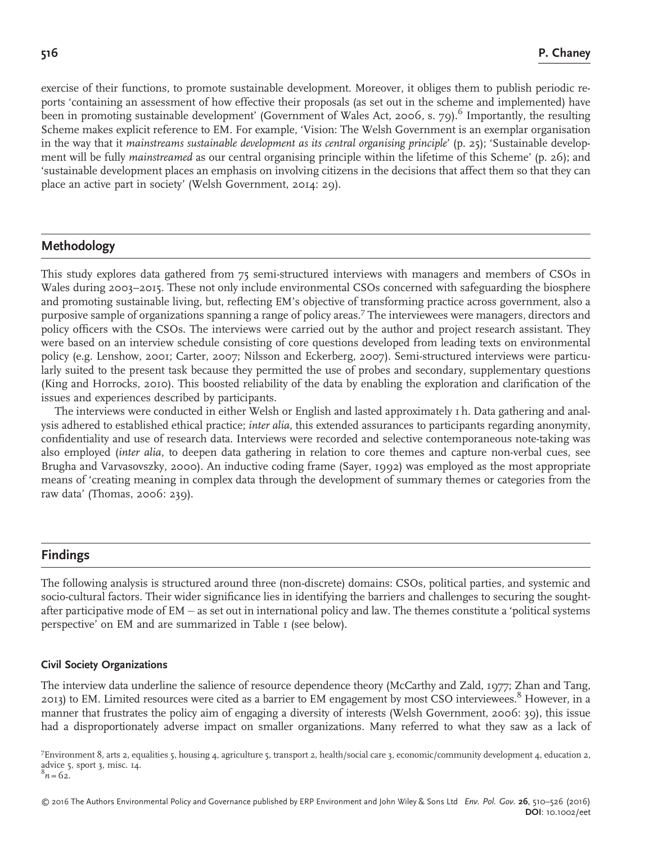exercise of their functions, to promote sustainable development. Moreover, it obliges them to publish periodic reports 'containing an assessment of how effective their proposals (as set out in the scheme and implemented) have been in promoting sustainable development' (Government of Wales Act, 2006, s. 79).  $\frac{6}{5}$  Importantly, the resulting Scheme makes explicit reference to EM. For example, 'Vision: The Welsh Government is an exemplar organisation in the way that it mainstreams sustainable development as its central organising principle' (p. 25); 'Sustainable development will be fully *mainstreamed* as our central organising principle within the lifetime of this Scheme' (p. 26); and 'sustainable development places an emphasis on involving citizens in the decisions that affect them so that they can place an active part in society' (Welsh Government, 2014: 29).

## Methodology

This study explores data gathered from 75 semi-structured interviews with managers and members of CSOs in Wales during 2003–2015. These not only include environmental CSOs concerned with safeguarding the biosphere and promoting sustainable living, but, reflecting EM's objective of transforming practice across government, also a purposive sample of organizations spanning a range of policy areas.<sup>7</sup> The interviewees were managers, directors and policy officers with the CSOs. The interviews were carried out by the author and project research assistant. They were based on an interview schedule consisting of core questions developed from leading texts on environmental policy (e.g. Lenshow, 2001; Carter, 2007; Nilsson and Eckerberg, 2007). Semi-structured interviews were particularly suited to the present task because they permitted the use of probes and secondary, supplementary questions (King and Horrocks, 2010). This boosted reliability of the data by enabling the exploration and clarification of the issues and experiences described by participants.

The interviews were conducted in either Welsh or English and lasted approximately 1 h. Data gathering and analysis adhered to established ethical practice; *inter alia*, this extended assurances to participants regarding anonymity, confidentiality and use of research data. Interviews were recorded and selective contemporaneous note-taking was also employed (inter alia, to deepen data gathering in relation to core themes and capture non-verbal cues, see Brugha and Varvasovszky, 2000). An inductive coding frame (Sayer, 1992) was employed as the most appropriate means of 'creating meaning in complex data through the development of summary themes or categories from the raw data' (Thomas, 2006: 239).

## Findings

The following analysis is structured around three (non-discrete) domains: CSOs, political parties, and systemic and socio-cultural factors. Their wider significance lies in identifying the barriers and challenges to securing the soughtafter participative mode of  $EM - as$  set out in international policy and law. The themes constitute a 'political systems perspective' on EM and are summarized in Table 1 (see below).

#### Civil Society Organizations

The interview data underline the salience of resource dependence theory (McCarthy and Zald, 1977; Zhan and Tang, 2013) to EM. Limited resources were cited as a barrier to EM engagement by most CSO interviewees.8 However, in a manner that frustrates the policy aim of engaging a diversity of interests (Welsh Government, 2006: 39), this issue had a disproportionately adverse impact on smaller organizations. Many referred to what they saw as a lack of

7 Environment 8, arts 2, equalities 5, housing 4, agriculture 5, transport 2, health/social care 3, economic/community development 4, education 2, advice 5, sport 3, misc. 14.  $8n = 62.$ 

<sup>© 2016</sup> The Authors Environmental Policy and Governance published by ERP Environment and John Wiley & Sons Ltd Env. Pol. Gov. 26, 510–526 (2016) DOI: 10.1002/eet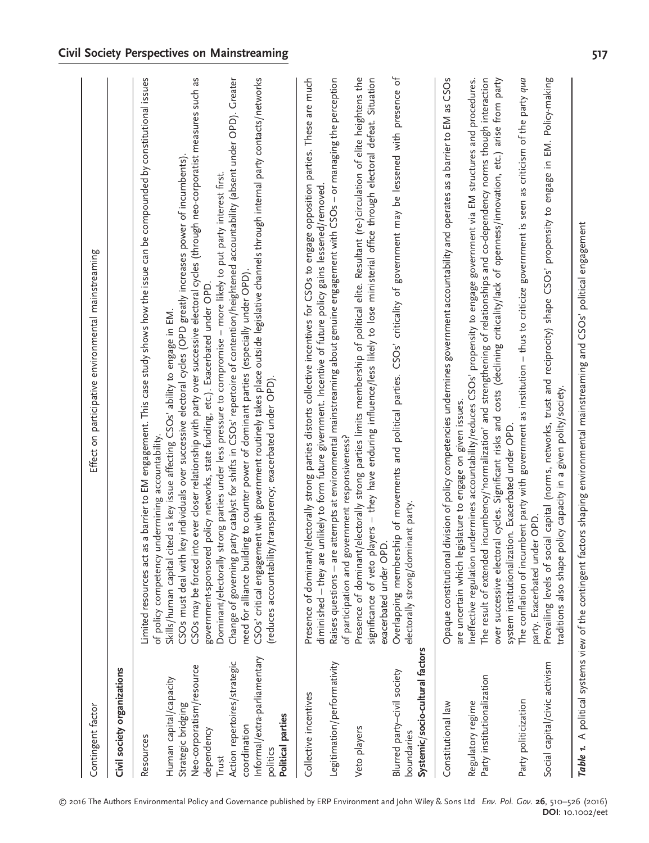| Contingent factor                                                                                                                                                                                        | Effect on participative environmental mainstreaming                                                                                                                                                                                                                                                                                                                                                                                                                                                                                                                                                                                                                                                                                                                                                                                                                                                                                                                                                                                                                                                                                                                                                                            |
|----------------------------------------------------------------------------------------------------------------------------------------------------------------------------------------------------------|--------------------------------------------------------------------------------------------------------------------------------------------------------------------------------------------------------------------------------------------------------------------------------------------------------------------------------------------------------------------------------------------------------------------------------------------------------------------------------------------------------------------------------------------------------------------------------------------------------------------------------------------------------------------------------------------------------------------------------------------------------------------------------------------------------------------------------------------------------------------------------------------------------------------------------------------------------------------------------------------------------------------------------------------------------------------------------------------------------------------------------------------------------------------------------------------------------------------------------|
| Civil society organizations                                                                                                                                                                              |                                                                                                                                                                                                                                                                                                                                                                                                                                                                                                                                                                                                                                                                                                                                                                                                                                                                                                                                                                                                                                                                                                                                                                                                                                |
| Informal/extra-parliamentary<br>Action repertoires/strategic<br>Neo-corporatism/resource<br>Human capital/capacity<br>Strategic bridging<br>coordination<br>dependency<br>Resources<br>politics<br>Trust | Limited resources act as a barrier to EM engagement. This case study shows how the issue can be compounded by constitutional issues<br>forced into ever closer relationship with party over successive electoral cycles (through neo-corporatist measures such as<br>Change of governing party catalyst for shifts in CSOs' repertoire of contention/heightened accountability (absent under OPD). Greater<br>engagement with government routinely takes place outside legislative channels through internal party contacts/networks<br>CSOs must deal with key individuals over successive electoral cycles (OPD greatly increases power of incumbents).<br>ctorally strong parties under less pressure to compromise – more likely to put party interest first.<br>need for alliance building to counter power of dominant parties (especially under OPD).<br>ponsored policy networks, state funding, etc.). Exacerbated under OPD.<br>capital cited as key issue affecting CSOs' ability to engage in EM.<br>(reduces accountability/transparency; exacerbated under OPD).<br>of policy competency undermining accountability<br>Skills/human<br>CSO <sub>s may</sub> be<br>government-s<br>Dominant/ele<br>CSOs' critical |
| Political parties                                                                                                                                                                                        |                                                                                                                                                                                                                                                                                                                                                                                                                                                                                                                                                                                                                                                                                                                                                                                                                                                                                                                                                                                                                                                                                                                                                                                                                                |
| Collective incentives                                                                                                                                                                                    | Presence of dominant/electorally strong parties distorts collective incentives for CSOs to engage opposition parties. These are much                                                                                                                                                                                                                                                                                                                                                                                                                                                                                                                                                                                                                                                                                                                                                                                                                                                                                                                                                                                                                                                                                           |
| Legitimation/performativity                                                                                                                                                                              | Raises questions – are attempts at environmental mainstreaming about genuine engagement with CSOs – or managing the perception<br>diminished – they are unlikely to form future givernment. Incentive of future policy gains lessened/removed.<br>of participation and government responsiveness?                                                                                                                                                                                                                                                                                                                                                                                                                                                                                                                                                                                                                                                                                                                                                                                                                                                                                                                              |
| Veto players                                                                                                                                                                                             | Presence of dominant/electorally strong parties limits membership of political elite. Resultant (re-)circulation of elite heightens the<br>significance of veto players – they have enduring influence/less likely to lose ministerial office through electoral defeat. Situation<br>exacerbated under OPD.                                                                                                                                                                                                                                                                                                                                                                                                                                                                                                                                                                                                                                                                                                                                                                                                                                                                                                                    |
| Systemic/socio-cultural factors<br>Blurred party-civil society<br>boundaries                                                                                                                             | membership of movements and political parties. CSOs' criticality of government may be lessened with presence of<br>ong/dominant party.<br>electorally stro<br>Overlapping                                                                                                                                                                                                                                                                                                                                                                                                                                                                                                                                                                                                                                                                                                                                                                                                                                                                                                                                                                                                                                                      |
| Constitutional law                                                                                                                                                                                       | Opaque constitutional division of policy competencies undermines government accountability and operates as a barrier to EM as CSOs<br>are uncertain which legislature to engage on given issues.                                                                                                                                                                                                                                                                                                                                                                                                                                                                                                                                                                                                                                                                                                                                                                                                                                                                                                                                                                                                                               |
| Party institutionalization<br>Regulatory regime                                                                                                                                                          | extended incumbency/'normalization' and strengthening of relationships and co-dependency norms though interaction<br>over successive electoral cycles. Significant risks and costs (declining criticality/lack of openness/innovation, etc.) arise from party<br>Ineffective regulation undermines accountability/reduces CSOs' propensity to engage government via EM structures and procedures.<br>The result of                                                                                                                                                                                                                                                                                                                                                                                                                                                                                                                                                                                                                                                                                                                                                                                                             |
| Party politicization                                                                                                                                                                                     | The conflation of incumbent party with government as institution – thus to criticize government is seen as criticism of the party qua<br>system institutionalization. Exacerbated under OPD.<br>party. Exacerbated under OPD.                                                                                                                                                                                                                                                                                                                                                                                                                                                                                                                                                                                                                                                                                                                                                                                                                                                                                                                                                                                                  |
| Social capital/civic activism                                                                                                                                                                            | Prevailing levels of social capital (norms, networks, trust and reciprocity) shape CSOs' propensity to engage in EM. Policy-making<br>traditions also shape policy capacity in a given polity/society.                                                                                                                                                                                                                                                                                                                                                                                                                                                                                                                                                                                                                                                                                                                                                                                                                                                                                                                                                                                                                         |
|                                                                                                                                                                                                          | Table 1. A political systems view of the contingent factors shaping environmental mainstreaming and CSOs' political engagement                                                                                                                                                                                                                                                                                                                                                                                                                                                                                                                                                                                                                                                                                                                                                                                                                                                                                                                                                                                                                                                                                                 |

© 2016 The Authors Environmental Policy and Governance published by ERP Environment and John Wiley & Sons Ltd Env. Pol. Gov. 26, 510–526 (2016) DOI: 10.1002/eet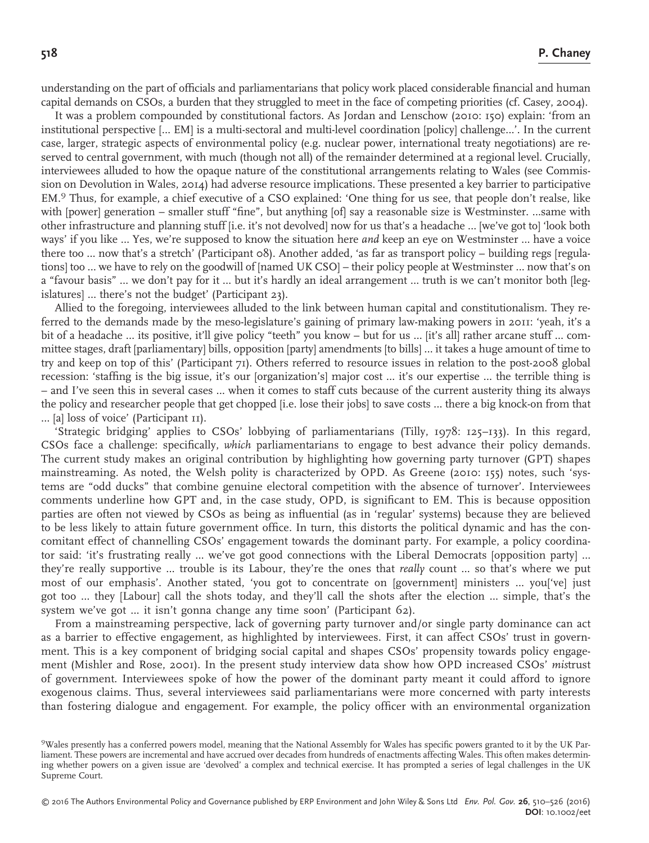understanding on the part of officials and parliamentarians that policy work placed considerable financial and human capital demands on CSOs, a burden that they struggled to meet in the face of competing priorities (cf. Casey, 2004).

It was a problem compounded by constitutional factors. As Jordan and Lenschow (2010: 150) explain: 'from an institutional perspective [… EM] is a multi-sectoral and multi-level coordination [policy] challenge…'. In the current case, larger, strategic aspects of environmental policy (e.g. nuclear power, international treaty negotiations) are reserved to central government, with much (though not all) of the remainder determined at a regional level. Crucially, interviewees alluded to how the opaque nature of the constitutional arrangements relating to Wales (see Commission on Devolution in Wales, 2014) had adverse resource implications. These presented a key barrier to participative EM.<sup>9</sup> Thus, for example, a chief executive of a CSO explained: 'One thing for us see, that people don't realse, like with [power] generation – smaller stuff "fine", but anything [of] say a reasonable size is Westminster. ...same with other infrastructure and planning stuff [i.e. it's not devolved] now for us that's a headache … [we've got to] 'look both ways' if you like ... Yes, we're supposed to know the situation here *and* keep an eye on Westminster ... have a voice there too … now that's a stretch' (Participant 08). Another added, 'as far as transport policy – building regs [regulations] too … we have to rely on the goodwill of [named UK CSO] – their policy people at Westminster … now that's on a "favour basis" … we don't pay for it … but it's hardly an ideal arrangement … truth is we can't monitor both [legislatures] … there's not the budget' (Participant 23).

Allied to the foregoing, interviewees alluded to the link between human capital and constitutionalism. They referred to the demands made by the meso-legislature's gaining of primary law-making powers in 2011: 'yeah, it's a bit of a headache … its positive, it'll give policy "teeth" you know – but for us … [it's all] rather arcane stuff … committee stages, draft [parliamentary] bills, opposition [party] amendments [to bills] … it takes a huge amount of time to try and keep on top of this' (Participant 71). Others referred to resource issues in relation to the post-2008 global recession: 'staffing is the big issue, it's our [organization's] major cost … it's our expertise … the terrible thing is – and I've seen this in several cases … when it comes to staff cuts because of the current austerity thing its always the policy and researcher people that get chopped [i.e. lose their jobs] to save costs … there a big knock-on from that … [a] loss of voice' (Participant 11).

'Strategic bridging' applies to CSOs' lobbying of parliamentarians (Tilly, 1978: 125–133). In this regard, CSOs face a challenge: specifically, which parliamentarians to engage to best advance their policy demands. The current study makes an original contribution by highlighting how governing party turnover (GPT) shapes mainstreaming. As noted, the Welsh polity is characterized by OPD. As Greene (2010: 155) notes, such 'systems are "odd ducks" that combine genuine electoral competition with the absence of turnover'. Interviewees comments underline how GPT and, in the case study, OPD, is significant to EM. This is because opposition parties are often not viewed by CSOs as being as influential (as in 'regular' systems) because they are believed to be less likely to attain future government office. In turn, this distorts the political dynamic and has the concomitant effect of channelling CSOs' engagement towards the dominant party. For example, a policy coordinator said: 'it's frustrating really … we've got good connections with the Liberal Democrats [opposition party] … they're really supportive ... trouble is its Labour, they're the ones that *really* count ... so that's where we put most of our emphasis'. Another stated, 'you got to concentrate on [government] ministers … you['ve] just got too … they [Labour] call the shots today, and they'll call the shots after the election … simple, that's the system we've got … it isn't gonna change any time soon' (Participant 62).

From a mainstreaming perspective, lack of governing party turnover and/or single party dominance can act as a barrier to effective engagement, as highlighted by interviewees. First, it can affect CSOs' trust in government. This is a key component of bridging social capital and shapes CSOs' propensity towards policy engagement (Mishler and Rose, 2001). In the present study interview data show how OPD increased CSOs' mistrust of government. Interviewees spoke of how the power of the dominant party meant it could afford to ignore exogenous claims. Thus, several interviewees said parliamentarians were more concerned with party interests than fostering dialogue and engagement. For example, the policy officer with an environmental organization

<sup>9</sup> Wales presently has a conferred powers model, meaning that the National Assembly for Wales has specific powers granted to it by the UK Parliament. These powers are incremental and have accrued over decades from hundreds of enactments affecting Wales. This often makes determining whether powers on a given issue are 'devolved' a complex and technical exercise. It has prompted a series of legal challenges in the UK Supreme Court.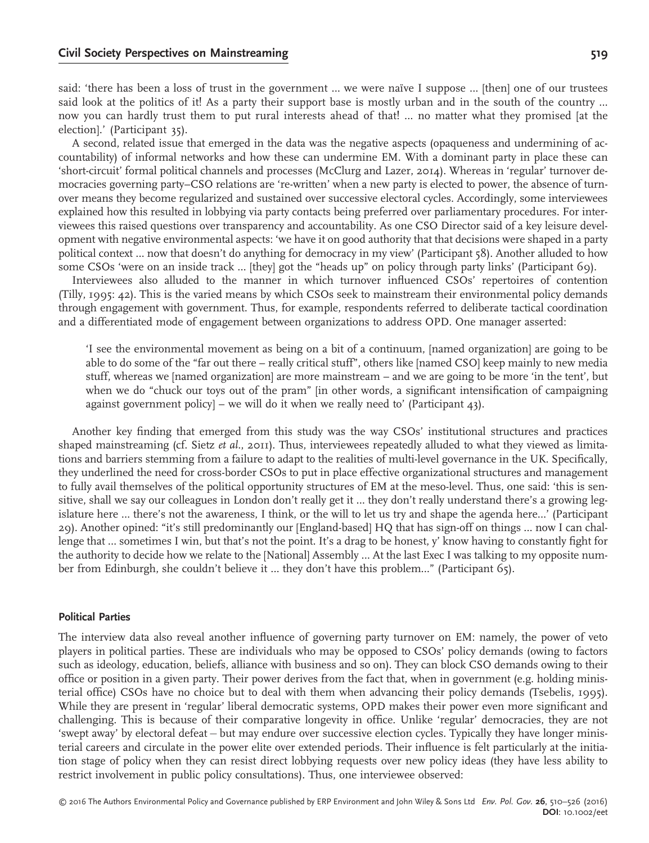said: 'there has been a loss of trust in the government … we were naïve I suppose … [then] one of our trustees said look at the politics of it! As a party their support base is mostly urban and in the south of the country ... now you can hardly trust them to put rural interests ahead of that! … no matter what they promised [at the election].' (Participant 35).

A second, related issue that emerged in the data was the negative aspects (opaqueness and undermining of accountability) of informal networks and how these can undermine EM. With a dominant party in place these can 'short-circuit' formal political channels and processes (McClurg and Lazer, 2014). Whereas in 'regular' turnover democracies governing party–CSO relations are 're-written' when a new party is elected to power, the absence of turnover means they become regularized and sustained over successive electoral cycles. Accordingly, some interviewees explained how this resulted in lobbying via party contacts being preferred over parliamentary procedures. For interviewees this raised questions over transparency and accountability. As one CSO Director said of a key leisure development with negative environmental aspects: 'we have it on good authority that that decisions were shaped in a party political context … now that doesn't do anything for democracy in my view' (Participant 58). Another alluded to how some CSOs 'were on an inside track … [they] got the "heads up" on policy through party links' (Participant 69).

Interviewees also alluded to the manner in which turnover influenced CSOs' repertoires of contention (Tilly, 1995: 42). This is the varied means by which CSOs seek to mainstream their environmental policy demands through engagement with government. Thus, for example, respondents referred to deliberate tactical coordination and a differentiated mode of engagement between organizations to address OPD. One manager asserted:

'I see the environmental movement as being on a bit of a continuum, [named organization] are going to be able to do some of the "far out there – really critical stuff", others like [named CSO] keep mainly to new media stuff, whereas we [named organization] are more mainstream – and we are going to be more 'in the tent', but when we do "chuck our toys out of the pram" [in other words, a significant intensification of campaigning against government policy] – we will do it when we really need to' (Participant 43).

Another key finding that emerged from this study was the way CSOs' institutional structures and practices shaped mainstreaming (cf. Sietz et al., 2011). Thus, interviewees repeatedly alluded to what they viewed as limitations and barriers stemming from a failure to adapt to the realities of multi-level governance in the UK. Specifically, they underlined the need for cross-border CSOs to put in place effective organizational structures and management to fully avail themselves of the political opportunity structures of EM at the meso-level. Thus, one said: 'this is sensitive, shall we say our colleagues in London don't really get it … they don't really understand there's a growing legislature here … there's not the awareness, I think, or the will to let us try and shape the agenda here…' (Participant 29). Another opined: "it's still predominantly our [England-based] HQ that has sign-off on things … now I can challenge that … sometimes I win, but that's not the point. It's a drag to be honest, y' know having to constantly fight for the authority to decide how we relate to the [National] Assembly … At the last Exec I was talking to my opposite number from Edinburgh, she couldn't believe it … they don't have this problem…" (Participant 65).

## Political Parties

The interview data also reveal another influence of governing party turnover on EM: namely, the power of veto players in political parties. These are individuals who may be opposed to CSOs' policy demands (owing to factors such as ideology, education, beliefs, alliance with business and so on). They can block CSO demands owing to their office or position in a given party. Their power derives from the fact that, when in government (e.g. holding ministerial office) CSOs have no choice but to deal with them when advancing their policy demands (Tsebelis, 1995). While they are present in 'regular' liberal democratic systems, OPD makes their power even more significant and challenging. This is because of their comparative longevity in office. Unlike 'regular' democracies, they are not 'swept away' by electoral defeat - but may endure over successive election cycles. Typically they have longer ministerial careers and circulate in the power elite over extended periods. Their influence is felt particularly at the initiation stage of policy when they can resist direct lobbying requests over new policy ideas (they have less ability to restrict involvement in public policy consultations). Thus, one interviewee observed: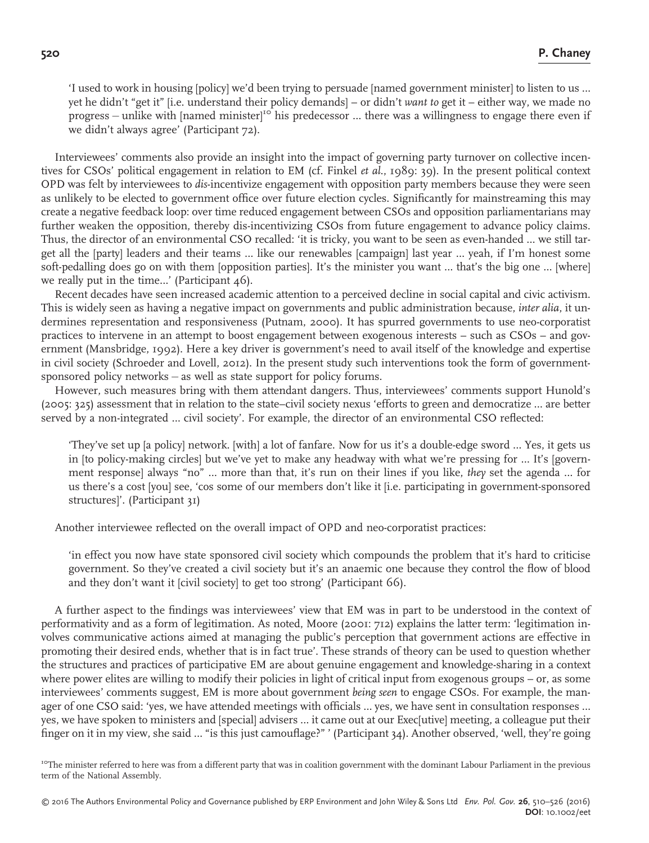'I used to work in housing [policy] we'd been trying to persuade [named government minister] to listen to us … yet he didn't "get it" [i.e. understand their policy demands] – or didn't want to get it – either way, we made no progress – unlike with [named minister]<sup>10</sup> his predecessor  $\ldots$  there was a willingness to engage there even if we didn't always agree' (Participant 72).

Interviewees' comments also provide an insight into the impact of governing party turnover on collective incentives for CSOs' political engagement in relation to EM (cf. Finkel *et al.*, 1989: 39). In the present political context OPD was felt by interviewees to dis-incentivize engagement with opposition party members because they were seen as unlikely to be elected to government office over future election cycles. Significantly for mainstreaming this may create a negative feedback loop: over time reduced engagement between CSOs and opposition parliamentarians may further weaken the opposition, thereby dis-incentivizing CSOs from future engagement to advance policy claims. Thus, the director of an environmental CSO recalled: 'it is tricky, you want to be seen as even-handed … we still target all the [party] leaders and their teams … like our renewables [campaign] last year … yeah, if I'm honest some soft-pedalling does go on with them [opposition parties]. It's the minister you want ... that's the big one ... [where] we really put in the time…' (Participant 46).

Recent decades have seen increased academic attention to a perceived decline in social capital and civic activism. This is widely seen as having a negative impact on governments and public administration because, inter alia, it undermines representation and responsiveness (Putnam, 2000). It has spurred governments to use neo-corporatist practices to intervene in an attempt to boost engagement between exogenous interests – such as CSOs – and government (Mansbridge, 1992). Here a key driver is government's need to avail itself of the knowledge and expertise in civil society (Schroeder and Lovell, 2012). In the present study such interventions took the form of governmentsponsored policy networks  $-$  as well as state support for policy forums.

However, such measures bring with them attendant dangers. Thus, interviewees' comments support Hunold's (2005: 325) assessment that in relation to the state–civil society nexus 'efforts to green and democratize … are better served by a non-integrated … civil society'. For example, the director of an environmental CSO reflected:

'They've set up [a policy] network. [with] a lot of fanfare. Now for us it's a double-edge sword … Yes, it gets us in [to policy-making circles] but we've yet to make any headway with what we're pressing for … It's [government response] always "no" … more than that, it's run on their lines if you like, they set the agenda … for us there's a cost [you] see, 'cos some of our members don't like it [i.e. participating in government-sponsored structures]'. (Participant 31)

Another interviewee reflected on the overall impact of OPD and neo-corporatist practices:

'in effect you now have state sponsored civil society which compounds the problem that it's hard to criticise government. So they've created a civil society but it's an anaemic one because they control the flow of blood and they don't want it [civil society] to get too strong' (Participant 66).

A further aspect to the findings was interviewees' view that EM was in part to be understood in the context of performativity and as a form of legitimation. As noted, Moore (2001: 712) explains the latter term: 'legitimation involves communicative actions aimed at managing the public's perception that government actions are effective in promoting their desired ends, whether that is in fact true'. These strands of theory can be used to question whether the structures and practices of participative EM are about genuine engagement and knowledge-sharing in a context where power elites are willing to modify their policies in light of critical input from exogenous groups – or, as some interviewees' comments suggest, EM is more about government being seen to engage CSOs. For example, the manager of one CSO said: 'yes, we have attended meetings with officials … yes, we have sent in consultation responses … yes, we have spoken to ministers and [special] advisers … it came out at our Exec[utive] meeting, a colleague put their finger on it in my view, she said … "is this just camouflage?" ' (Participant 34). Another observed, 'well, they're going

<sup>10</sup>The minister referred to here was from a different party that was in coalition government with the dominant Labour Parliament in the previous term of the National Assembly.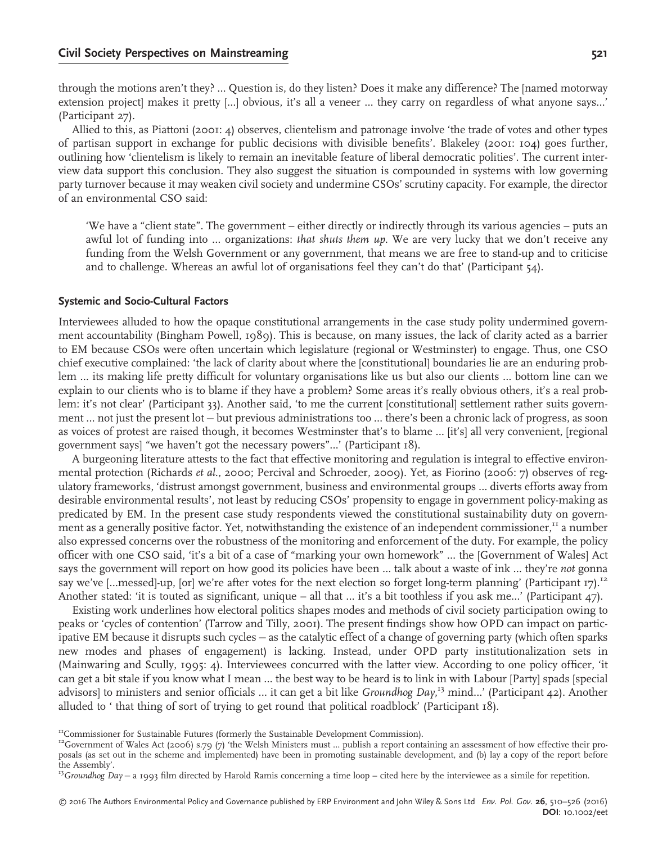through the motions aren't they? … Question is, do they listen? Does it make any difference? The [named motorway extension project] makes it pretty [...] obvious, it's all a veneer ... they carry on regardless of what anyone says...' (Participant 27).

Allied to this, as Piattoni (2001: 4) observes, clientelism and patronage involve 'the trade of votes and other types of partisan support in exchange for public decisions with divisible benefits'. Blakeley (2001: 104) goes further, outlining how 'clientelism is likely to remain an inevitable feature of liberal democratic polities'. The current interview data support this conclusion. They also suggest the situation is compounded in systems with low governing party turnover because it may weaken civil society and undermine CSOs' scrutiny capacity. For example, the director of an environmental CSO said:

'We have a "client state". The government – either directly or indirectly through its various agencies – puts an awful lot of funding into ... organizations: that shuts them up. We are very lucky that we don't receive any funding from the Welsh Government or any government, that means we are free to stand-up and to criticise and to challenge. Whereas an awful lot of organisations feel they can't do that' (Participant 54).

#### Systemic and Socio-Cultural Factors

Interviewees alluded to how the opaque constitutional arrangements in the case study polity undermined government accountability (Bingham Powell, 1989). This is because, on many issues, the lack of clarity acted as a barrier to EM because CSOs were often uncertain which legislature (regional or Westminster) to engage. Thus, one CSO chief executive complained: 'the lack of clarity about where the [constitutional] boundaries lie are an enduring problem … its making life pretty difficult for voluntary organisations like us but also our clients … bottom line can we explain to our clients who is to blame if they have a problem? Some areas it's really obvious others, it's a real problem: it's not clear' (Participant 33). Another said, 'to me the current [constitutional] settlement rather suits government ... not just the present lot – but previous administrations too ... there's been a chronic lack of progress, as soon as voices of protest are raised though, it becomes Westminster that's to blame … [it's] all very convenient, [regional government says] "we haven't got the necessary powers"…' (Participant 18).

A burgeoning literature attests to the fact that effective monitoring and regulation is integral to effective environmental protection (Richards *et al.*, 2000; Percival and Schroeder, 2009). Yet, as Fiorino (2006: 7) observes of regulatory frameworks, 'distrust amongst government, business and environmental groups … diverts efforts away from desirable environmental results', not least by reducing CSOs' propensity to engage in government policy-making as predicated by EM. In the present case study respondents viewed the constitutional sustainability duty on government as a generally positive factor. Yet, notwithstanding the existence of an independent commissioner, $I^{\text{II}}$  a number also expressed concerns over the robustness of the monitoring and enforcement of the duty. For example, the policy officer with one CSO said, 'it's a bit of a case of "marking your own homework" … the [Government of Wales] Act says the government will report on how good its policies have been ... talk about a waste of ink ... they're not gonna say we've [...messed]-up, [or] we're after votes for the next election so forget long-term planning' (Participant 17).<sup>12</sup> Another stated: 'it is touted as significant, unique – all that … it's a bit toothless if you ask me…' (Participant 47).

Existing work underlines how electoral politics shapes modes and methods of civil society participation owing to peaks or 'cycles of contention' (Tarrow and Tilly, 2001). The present findings show how OPD can impact on participative EM because it disrupts such cycles – as the catalytic effect of a change of governing party (which often sparks new modes and phases of engagement) is lacking. Instead, under OPD party institutionalization sets in (Mainwaring and Scully, 1995: 4). Interviewees concurred with the latter view. According to one policy officer, 'it can get a bit stale if you know what I mean … the best way to be heard is to link in with Labour [Party] spads [special advisors] to ministers and senior officials ... it can get a bit like *Groundhog Day*,<sup>13</sup> mind...' (Participant 42). Another alluded to ' that thing of sort of trying to get round that political roadblock' (Participant 18).

<sup>&</sup>lt;sup>11</sup>Commissioner for Sustainable Futures (formerly the Sustainable Development Commission).

 $^{12}$ Government of Wales Act (2006) s.79 (7) 'the Welsh Ministers must ... publish a report containing an assessment of how effective their proposals (as set out in the scheme and implemented) have been in promoting sustainable development, and (b) lay a copy of the report before

 $t^3$ Groundhog Day – a 1993 film directed by Harold Ramis concerning a time loop – cited here by the interviewee as a simile for repetition.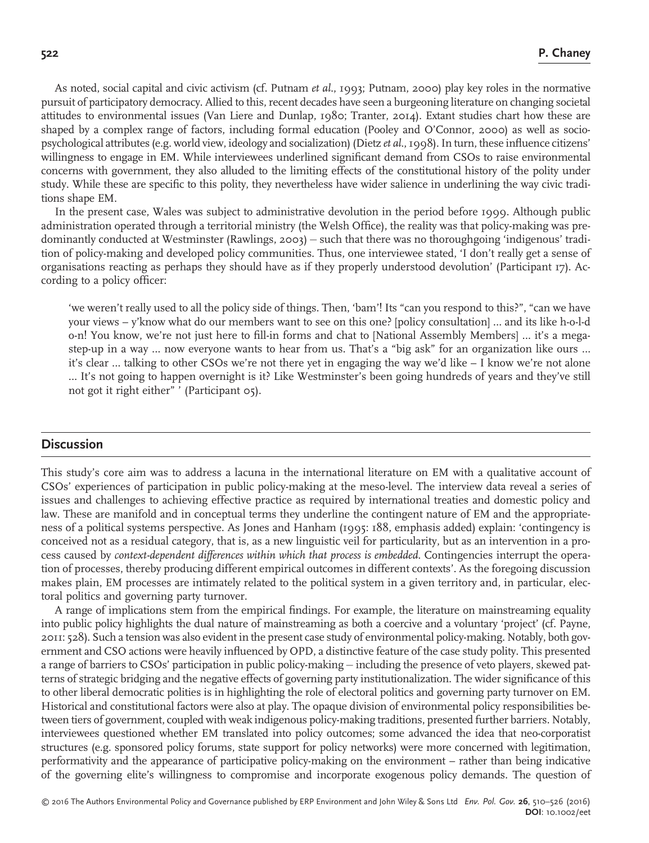As noted, social capital and civic activism (cf. Putnam et al., 1993; Putnam, 2000) play key roles in the normative pursuit of participatory democracy. Allied to this, recent decades have seen a burgeoning literature on changing societal attitudes to environmental issues (Van Liere and Dunlap, 1980; Tranter, 2014). Extant studies chart how these are shaped by a complex range of factors, including formal education (Pooley and O'Connor, 2000) as well as sociopsychological attributes (e.g. world view, ideology and socialization) (Dietz et al., 1998). In turn, these influence citizens' willingness to engage in EM. While interviewees underlined significant demand from CSOs to raise environmental concerns with government, they also alluded to the limiting effects of the constitutional history of the polity under study. While these are specific to this polity, they nevertheless have wider salience in underlining the way civic traditions shape EM.

In the present case, Wales was subject to administrative devolution in the period before 1999. Although public administration operated through a territorial ministry (the Welsh Office), the reality was that policy-making was predominantly conducted at Westminster (Rawlings, 2003) – such that there was no thoroughgoing 'indigenous' tradition of policy-making and developed policy communities. Thus, one interviewee stated, 'I don't really get a sense of organisations reacting as perhaps they should have as if they properly understood devolution' (Participant 17). According to a policy officer:

'we weren't really used to all the policy side of things. Then, 'bam'! Its "can you respond to this?", "can we have your views – y'know what do our members want to see on this one? [policy consultation] … and its like h-o-l-d o-n! You know, we're not just here to fill-in forms and chat to [National Assembly Members] … it's a megastep-up in a way … now everyone wants to hear from us. That's a "big ask" for an organization like ours … it's clear … talking to other CSOs we're not there yet in engaging the way we'd like – I know we're not alone … It's not going to happen overnight is it? Like Westminster's been going hundreds of years and they've still not got it right either" ' (Participant 05).

## **Discussion**

This study's core aim was to address a lacuna in the international literature on EM with a qualitative account of CSOs' experiences of participation in public policy-making at the meso-level. The interview data reveal a series of issues and challenges to achieving effective practice as required by international treaties and domestic policy and law. These are manifold and in conceptual terms they underline the contingent nature of EM and the appropriateness of a political systems perspective. As Jones and Hanham (1995: 188, emphasis added) explain: 'contingency is conceived not as a residual category, that is, as a new linguistic veil for particularity, but as an intervention in a process caused by context-dependent differences within which that process is embedded. Contingencies interrupt the operation of processes, thereby producing different empirical outcomes in different contexts'. As the foregoing discussion makes plain, EM processes are intimately related to the political system in a given territory and, in particular, electoral politics and governing party turnover.

A range of implications stem from the empirical findings. For example, the literature on mainstreaming equality into public policy highlights the dual nature of mainstreaming as both a coercive and a voluntary 'project' (cf. Payne, 2011: 528). Such a tension was also evident in the present case study of environmental policy-making. Notably, both government and CSO actions were heavily influenced by OPD, a distinctive feature of the case study polity. This presented a range of barriers to CSOs' participation in public policy-making – including the presence of veto players, skewed patterns of strategic bridging and the negative effects of governing party institutionalization. The wider significance of this to other liberal democratic polities is in highlighting the role of electoral politics and governing party turnover on EM. Historical and constitutional factors were also at play. The opaque division of environmental policy responsibilities between tiers of government, coupled with weak indigenous policy-making traditions, presented further barriers. Notably, interviewees questioned whether EM translated into policy outcomes; some advanced the idea that neo-corporatist structures (e.g. sponsored policy forums, state support for policy networks) were more concerned with legitimation, performativity and the appearance of participative policy-making on the environment – rather than being indicative of the governing elite's willingness to compromise and incorporate exogenous policy demands. The question of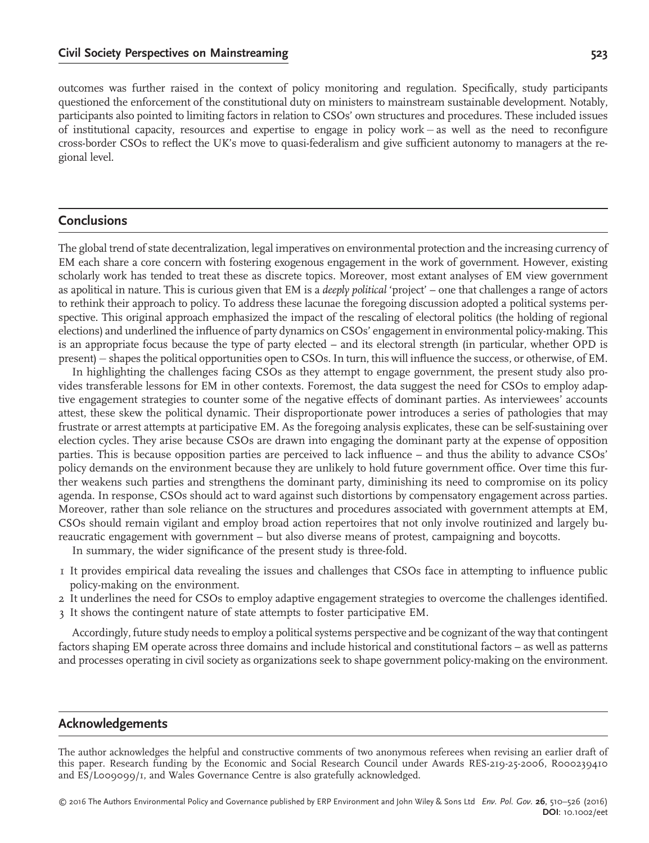outcomes was further raised in the context of policy monitoring and regulation. Specifically, study participants questioned the enforcement of the constitutional duty on ministers to mainstream sustainable development. Notably, participants also pointed to limiting factors in relation to CSOs' own structures and procedures. These included issues of institutional capacity, resources and expertise to engage in policy work – as well as the need to reconfigure cross-border CSOs to reflect the UK's move to quasi-federalism and give sufficient autonomy to managers at the re-

## **Conclusions**

gional level.

The global trend of state decentralization, legal imperatives on environmental protection and the increasing currency of EM each share a core concern with fostering exogenous engagement in the work of government. However, existing scholarly work has tended to treat these as discrete topics. Moreover, most extant analyses of EM view government as apolitical in nature. This is curious given that EM is a *deeply political 'project'* – one that challenges a range of actors to rethink their approach to policy. To address these lacunae the foregoing discussion adopted a political systems perspective. This original approach emphasized the impact of the rescaling of electoral politics (the holding of regional elections) and underlined the influence of party dynamics on CSOs' engagement in environmental policy-making. This is an appropriate focus because the type of party elected – and its electoral strength (in particular, whether OPD is present) – shapes the political opportunities open to CSOs. In turn, this will influence the success, or otherwise, of EM.

In highlighting the challenges facing CSOs as they attempt to engage government, the present study also provides transferable lessons for EM in other contexts. Foremost, the data suggest the need for CSOs to employ adaptive engagement strategies to counter some of the negative effects of dominant parties. As interviewees' accounts attest, these skew the political dynamic. Their disproportionate power introduces a series of pathologies that may frustrate or arrest attempts at participative EM. As the foregoing analysis explicates, these can be self-sustaining over election cycles. They arise because CSOs are drawn into engaging the dominant party at the expense of opposition parties. This is because opposition parties are perceived to lack influence – and thus the ability to advance CSOs' policy demands on the environment because they are unlikely to hold future government office. Over time this further weakens such parties and strengthens the dominant party, diminishing its need to compromise on its policy agenda. In response, CSOs should act to ward against such distortions by compensatory engagement across parties. Moreover, rather than sole reliance on the structures and procedures associated with government attempts at EM, CSOs should remain vigilant and employ broad action repertoires that not only involve routinized and largely bureaucratic engagement with government – but also diverse means of protest, campaigning and boycotts.

In summary, the wider significance of the present study is three-fold.

- 1 It provides empirical data revealing the issues and challenges that CSOs face in attempting to influence public policy-making on the environment.
- 2 It underlines the need for CSOs to employ adaptive engagement strategies to overcome the challenges identified.
- 3 It shows the contingent nature of state attempts to foster participative EM.

Accordingly, future study needs to employ a political systems perspective and be cognizant of the way that contingent factors shaping EM operate across three domains and include historical and constitutional factors – as well as patterns and processes operating in civil society as organizations seek to shape government policy-making on the environment.

## Acknowledgements

The author acknowledges the helpful and constructive comments of two anonymous referees when revising an earlier draft of this paper. Research funding by the Economic and Social Research Council under Awards RES-219-25-2006, R000239410 and ES/L009099/1, and Wales Governance Centre is also gratefully acknowledged.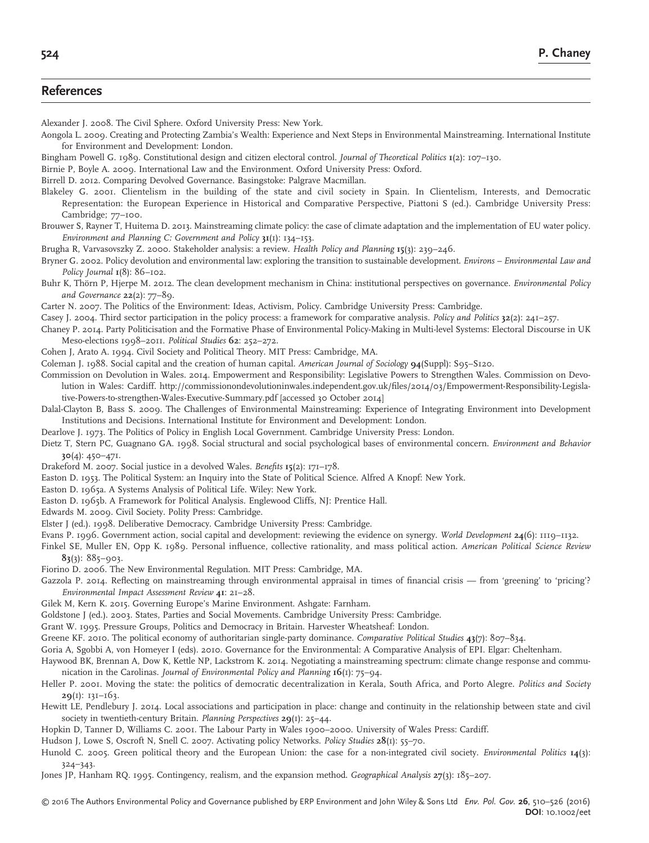# **References**

Alexander J. 2008. The Civil Sphere. Oxford University Press: New York. Aongola L. 2009. Creating and Protecting Zambia's Wealth: Experience and Next Steps in Environmental Mainstreaming. International Institute for Environment and Development: London. Bingham Powell G. 1989. Constitutional design and citizen electoral control. Journal of Theoretical Politics 1(2): 107–130. Birnie P, Boyle A. 2009. International Law and the Environment. Oxford University Press: Oxford. Birrell D. 2012. Comparing Devolved Governance. Basingstoke: Palgrave Macmillan. Blakeley G. 2001. Clientelism in the building of the state and civil society in Spain. In Clientelism, Interests, and Democratic Representation: the European Experience in Historical and Comparative Perspective, Piattoni S (ed.). Cambridge University Press: Cambridge; 77–100. Brouwer S, Rayner T, Huitema D. 2013. Mainstreaming climate policy: the case of climate adaptation and the implementation of EU water policy. Environment and Planning C: Government and Policy  $3I(1)$ : 134–153. Brugha R, Varvasovszky Z. 2000. Stakeholder analysis: a review. Health Policy and Planning 15(3): 239-246. Bryner G. 2002. Policy devolution and environmental law: exploring the transition to sustainable development. Environs - Environmental Law and Policy Journal 1(8): 86-102. Buhr K, Thörn P, Hjerpe M. 2012. The clean development mechanism in China: institutional perspectives on governance. Environmental Policy and Governance 22(2): 77–89. Carter N. 2007. The Politics of the Environment: Ideas, Activism, Policy. Cambridge University Press: Cambridge. Casey J. 2004. Third sector participation in the policy process: a framework for comparative analysis. Policy and Politics  $32(2)$ : 241–257. Chaney P. 2014. Party Politicisation and the Formative Phase of Environmental Policy-Making in Multi-level Systems: Electoral Discourse in UK Meso-elections 1998–2011. Political Studies 62: 252–272. Cohen J, Arato A. 1994. Civil Society and Political Theory. MIT Press: Cambridge, MA. Coleman J. 1988. Social capital and the creation of human capital. American Journal of Sociology 94(Suppl): S95-S120. Commission on Devolution in Wales. 2014. Empowerment and Responsibility: Legislative Powers to Strengthen Wales. Commission on Devolution in Wales: Cardiff. [http://commissionondevolutioninwales.independent.gov.uk/](http://commissionondevolutioninwales.independent.gov.uk/files/2014/03/Empowerment-Responsibility-Legislative-Powers-to-strengthen-Wales-Executive-Summary.pdf)files/2014/03/Empowerment-Responsibility-Legisla[tive-Powers-to-strengthen-Wales-Executive-Summary.pdf](http://commissionondevolutioninwales.independent.gov.uk/files/2014/03/Empowerment-Responsibility-Legislative-Powers-to-strengthen-Wales-Executive-Summary.pdf) [accessed 30 October 2014] Dalal-Clayton B, Bass S. 2009. The Challenges of Environmental Mainstreaming: Experience of Integrating Environment into Development Institutions and Decisions. International Institute for Environment and Development: London. Dearlove J. 1973. The Politics of Policy in English Local Government. Cambridge University Press: London. Dietz T, Stern PC, Guagnano GA. 1998. Social structural and social psychological bases of environmental concern. Environment and Behavior 30(4): 450–471. Drakeford M. 2007. Social justice in a devolved Wales. Benefits 15(2): 171–178. Easton D. 1953. The Political System: an Inquiry into the State of Political Science. Alfred A Knopf: New York. Easton D. 1965a. A Systems Analysis of Political Life. Wiley: New York. Easton D. 1965b. A Framework for Political Analysis. Englewood Cliffs, NJ: Prentice Hall. Edwards M. 2009. Civil Society. Polity Press: Cambridge. Elster J (ed.). 1998. Deliberative Democracy. Cambridge University Press: Cambridge. Evans P. 1996. Government action, social capital and development: reviewing the evidence on synergy. World Development 24(6): 1119-1132. Finkel SE, Muller EN, Opp K. 1989. Personal influence, collective rationality, and mass political action. American Political Science Review 83(3): 885–903. Fiorino D. 2006. The New Environmental Regulation. MIT Press: Cambridge, MA. Gazzola P. 2014. Reflecting on mainstreaming through environmental appraisal in times of financial crisis — from 'greening' to 'pricing'? Environmental Impact Assessment Review 41: 21–28. Gilek M, Kern K. 2015. Governing Europe's Marine Environment. Ashgate: Farnham. Goldstone J (ed.). 2003. States, Parties and Social Movements. Cambridge University Press: Cambridge. Grant W. 1995. Pressure Groups, Politics and Democracy in Britain. Harvester Wheatsheaf: London. Greene KF. 2010. The political economy of authoritarian single-party dominance. Comparative Political Studies 43(7): 807-834. Goria A, Sgobbi A, von Homeyer I (eds). 2010. Governance for the Environmental: A Comparative Analysis of EPI. Elgar: Cheltenham. Haywood BK, Brennan A, Dow K, Kettle NP, Lackstrom K. 2014. Negotiating a mainstreaming spectrum: climate change response and communication in the Carolinas. Journal of Environmental Policy and Planning 16(1): 75–94. Heller P. 2001. Moving the state: the politics of democratic decentralization in Kerala, South Africa, and Porto Alegre. Politics and Society 29(1): 131–163. Hewitt LE, Pendlebury J. 2014. Local associations and participation in place: change and continuity in the relationship between state and civil society in twentieth-century Britain. Planning Perspectives 29(1): 25-44. Hopkin D, Tanner D, Williams C. 2001. The Labour Party in Wales 1900–2000. University of Wales Press: Cardiff. Hudson J, Lowe S, Oscroft N, Snell C. 2007. Activating policy Networks. Policy Studies 28(1): 55–70.

Hunold C. 2005. Green political theory and the European Union: the case for a non-integrated civil society. Environmental Politics 14(3): 324–343.

Jones JP, Hanham RQ. 1995. Contingency, realism, and the expansion method. Geographical Analysis 27(3): 185–207.

© 2016 The Authors Environmental Policy and Governance published by ERP Environment and John Wiley & Sons Ltd Env. Pol. Gov. 26, 510–526 (2016) DOI: 10.1002/eet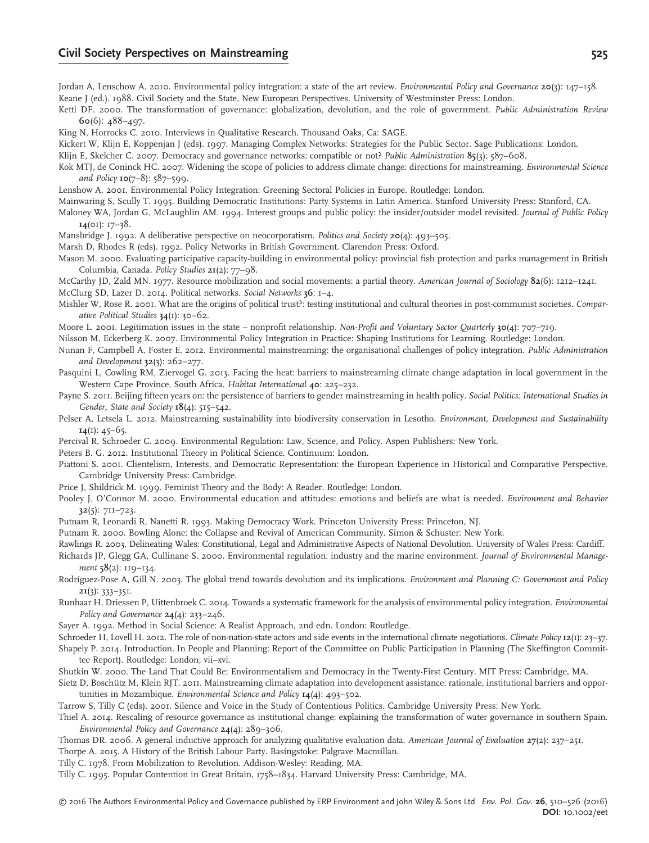- Jordan A, Lenschow A. 2010. Environmental policy integration: a state of the art review. Environmental Policy and Governance 20(3): 147–158. Keane J (ed.). 1988. Civil Society and the State, New European Perspectives. University of Westminster Press: London.
- Kettl DF. 2000. The transformation of governance: globalization, devolution, and the role of government. Public Administration Review 60(6): 488–497.
- King N, Horrocks C. 2010. Interviews in Qualitative Research. Thousand Oaks, Ca: SAGE.
- Kickert W, Klijn E, Koppenjan J (eds). 1997. Managing Complex Networks: Strategies for the Public Sector. Sage Publications: London.
- Klijn E, Skelcher C. 2007. Democracy and governance networks: compatible or not? Public Administration 85(3): 587–608.
- Kok MTJ, de Coninck HC. 2007. Widening the scope of policies to address climate change: directions for mainstreaming. Environmental Science and Policy 10(7-8): 587-599.
- Lenshow A. 2001. Environmental Policy Integration: Greening Sectoral Policies in Europe. Routledge: London.
- Mainwaring S, Scully T. 1995. Building Democratic Institutions: Party Systems in Latin America. Stanford University Press: Stanford, CA.
- Maloney WA, Jordan G, McLaughlin AM. 1994. Interest groups and public policy: the insider/outsider model revisited. Journal of Public Policy  $I_4(01): I_7-38.$
- Mansbridge J. 1992. A deliberative perspective on neocorporatism. Politics and Society 20(4): 493–505.
- Marsh D, Rhodes R (eds). 1992. Policy Networks in British Government. Clarendon Press: Oxford.
- Mason M. 2000. Evaluating participative capacity-building in environmental policy: provincial fish protection and parks management in British Columbia, Canada. Policy Studies 21(2): 77–98.
- McCarthy JD, Zald MN. 1977. Resource mobilization and social movements: a partial theory. American Journal of Sociology 82(6): 1212-1241. McClurg SD, Lazer D. 2014. Political networks. Social Networks 36: 1-4.
- Mishler W, Rose R. 2001. What are the origins of political trust?: testing institutional and cultural theories in post-communist societies. Comparative Political Studies  $34(1)$ : 30-62.
- Moore L. 2001. Legitimation issues in the state nonprofit relationship. Non-Profit and Voluntary Sector Quarterly 30(4): 707–719.
- Nilsson M, Eckerberg K. 2007. Environmental Policy Integration in Practice: Shaping Institutions for Learning. Routledge: London.
- Nunan F, Campbell A, Foster E. 2012. Environmental mainstreaming: the organisational challenges of policy integration. Public Administration and Development 32(3): 262–277.
- Pasquini L, Cowling RM, Ziervogel G. 2013. Facing the heat: barriers to mainstreaming climate change adaptation in local government in the Western Cape Province, South Africa. Habitat International 40: 225–232.
- Payne S. 2011. Beijing fifteen years on: the persistence of barriers to gender mainstreaming in health policy. Social Politics: International Studies in Gender, State and Society 18(4): 515–542.
- Pelser A, Letsela L. 2012. Mainstreaming sustainability into biodiversity conservation in Lesotho. Environment, Development and Sustainability  $14(1): 45-65.$
- Percival R, Schroeder C. 2009. Environmental Regulation: Law, Science, and Policy. Aspen Publishers: New York.
- Peters B. G. 2012. Institutional Theory in Political Science. Continuum: London.
- Piattoni S. 2001. Clientelism, Interests, and Democratic Representation: the European Experience in Historical and Comparative Perspective. Cambridge University Press: Cambridge.
- Price J, Shildrick M. 1999. Feminist Theory and the Body: A Reader. Routledge: London.
- Pooley J, O'Connor M. 2000. Environmental education and attitudes: emotions and beliefs are what is needed. Environment and Behavior 32(5): 711–723.
- Putnam R, Leonardi R, Nanetti R. 1993. Making Democracy Work. Princeton University Press: Princeton, NJ.
- Putnam R. 2000. Bowling Alone: the Collapse and Revival of American Community. Simon & Schuster: New York.
- Rawlings R. 2003. Delineating Wales: Constitutional, Legal and Administrative Aspects of National Devolution. University of Wales Press: Cardiff.
- Richards JP, Glegg GA, Cullinane S. 2000. Environmental regulation: industry and the marine environment. Journal of Environmental Management 58(2): 119-134.
- Rodríguez-Pose A, Gill N. 2003. The global trend towards devolution and its implications. Environment and Planning C: Government and Policy 21(3): 333–351.
- Runhaar H, Driessen P, Uittenbroek C. 2014. Towards a systematic framework for the analysis of environmental policy integration. Environmental Policy and Governance  $24(4)$ : 233-246.
- Sayer A. 1992. Method in Social Science: A Realist Approach, 2nd edn. London: Routledge.
- Schroeder H, Lovell H. 2012. The role of non-nation-state actors and side events in the international climate negotiations. Climate Policy 12(1): 23-37. Shapely P. 2014. Introduction. In People and Planning: Report of the Committee on Public Participation in Planning (The Skeffington Committee Report). Routledge: London; vii–xvi.
- Shutkin W. 2000. The Land That Could Be: Environmentalism and Democracy in the Twenty-First Century. MIT Press: Cambridge, MA.
- Sietz D, Boschütz M, Klein RJT. 2011. Mainstreaming climate adaptation into development assistance: rationale, institutional barriers and opportunities in Mozambique. Environmental Science and Policy 14(4): 493-502.
- Tarrow S, Tilly C (eds). 2001. Silence and Voice in the Study of Contentious Politics. Cambridge University Press: New York.
- Thiel A. 2014. Rescaling of resource governance as institutional change: explaining the transformation of water governance in southern Spain. Environmental Policy and Governance 24(4): 289–306.
- Thomas DR. 2006. A general inductive approach for analyzing qualitative evaluation data. American Journal of Evaluation 27(2): 237-251.
- Thorpe A. 2015. A History of the British Labour Party. Basingstoke: Palgrave Macmillan.
- Tilly C. 1978. From Mobilization to Revolution. Addison-Wesley: Reading, MA.
- Tilly C. 1995. Popular Contention in Great Britain, 1758–1834. Harvard University Press: Cambridge, MA.